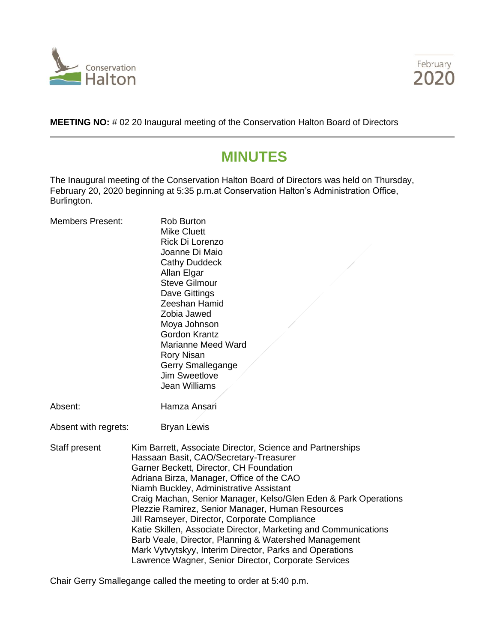



**MEETING NO:** # 02 20 Inaugural meeting of the Conservation Halton Board of Directors

# **MINUTES**

The Inaugural meeting of the Conservation Halton Board of Directors was held on Thursday, February 20, 2020 beginning at 5:35 p.m.at Conservation Halton's Administration Office, Burlington.

| <b>Members Present:</b> | <b>Rob Burton</b><br><b>Mike Cluett</b><br>Rick Di Lorenzo<br>Joanne Di Maio<br><b>Cathy Duddeck</b><br>Allan Elgar<br><b>Steve Gilmour</b><br>Dave Gittings<br>Zeeshan Hamid<br>Zobia Jawed<br>Moya Johnson<br><b>Gordon Krantz</b><br><b>Marianne Meed Ward</b><br><b>Rory Nisan</b><br>Gerry Smallegange<br><b>Jim Sweetlove</b>                                                                                                                                                                                                                                                                                                                           |
|-------------------------|---------------------------------------------------------------------------------------------------------------------------------------------------------------------------------------------------------------------------------------------------------------------------------------------------------------------------------------------------------------------------------------------------------------------------------------------------------------------------------------------------------------------------------------------------------------------------------------------------------------------------------------------------------------|
|                         | Jean Williams                                                                                                                                                                                                                                                                                                                                                                                                                                                                                                                                                                                                                                                 |
| Absent:                 | Hamza Ansari                                                                                                                                                                                                                                                                                                                                                                                                                                                                                                                                                                                                                                                  |
| Absent with regrets:    | <b>Bryan Lewis</b>                                                                                                                                                                                                                                                                                                                                                                                                                                                                                                                                                                                                                                            |
| Staff present           | Kim Barrett, Associate Director, Science and Partnerships<br>Hassaan Basit, CAO/Secretary-Treasurer<br>Garner Beckett, Director, CH Foundation<br>Adriana Birza, Manager, Office of the CAO<br>Niamh Buckley, Administrative Assistant<br>Craig Machan, Senior Manager, Kelso/Glen Eden & Park Operations<br>Plezzie Ramirez, Senior Manager, Human Resources<br>Jill Ramseyer, Director, Corporate Compliance<br>Katie Skillen, Associate Director, Marketing and Communications<br>Barb Veale, Director, Planning & Watershed Management<br>Mark Vytvytskyy, Interim Director, Parks and Operations<br>Lawrence Wagner, Senior Director, Corporate Services |

Chair Gerry Smallegange called the meeting to order at 5:40 p.m.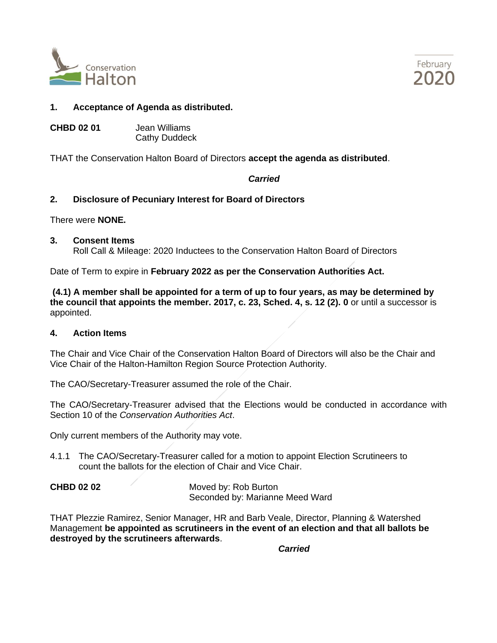



# **1. Acceptance of Agenda as distributed.**

**CHBD 02 01** Jean Williams Cathy Duddeck

THAT the Conservation Halton Board of Directors **accept the agenda as distributed**.

# *Carried*

# **2. Disclosure of Pecuniary Interest for Board of Directors**

There were **NONE.**

#### **3. Consent Items**

Roll Call & Mileage: 2020 Inductees to the Conservation Halton Board of Directors

Date of Term to expire in **February 2022 as per the Conservation Authorities Act.**

**(4.1) A member shall be appointed for a term of up to four years, as may be determined by the council that appoints the member. 2017, c. 23, Sched. 4, s. 12 (2). 0** or until a successor is appointed.

## **4. Action Items**

The Chair and Vice Chair of the Conservation Halton Board of Directors will also be the Chair and Vice Chair of the Halton-Hamilton Region Source Protection Authority.

The CAO/Secretary-Treasurer assumed the role of the Chair.

The CAO/Secretary-Treasurer advised that the Elections would be conducted in accordance with Section 10 of the *Conservation Authorities Act*.

Only current members of the Authority may vote.

4.1.1 The CAO/Secretary-Treasurer called for a motion to appoint Election Scrutineers to count the ballots for the election of Chair and Vice Chair.

**CHBD 02 02** Moved by: Rob Burton Seconded by: Marianne Meed Ward

THAT Plezzie Ramirez, Senior Manager, HR and Barb Veale, Director, Planning & Watershed Management **be appointed as scrutineers in the event of an election and that all ballots be destroyed by the scrutineers afterwards**.

*Carried*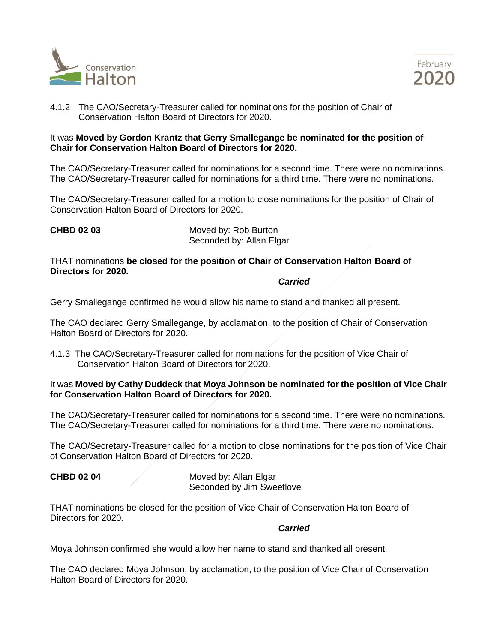



4.1.2 The CAO/Secretary-Treasurer called for nominations for the position of Chair of Conservation Halton Board of Directors for 2020.

#### It was **Moved by Gordon Krantz that Gerry Smallegange be nominated for the position of Chair for Conservation Halton Board of Directors for 2020.**

The CAO/Secretary-Treasurer called for nominations for a second time. There were no nominations. The CAO/Secretary-Treasurer called for nominations for a third time. There were no nominations.

The CAO/Secretary-Treasurer called for a motion to close nominations for the position of Chair of Conservation Halton Board of Directors for 2020.

**CHBD 02 03** Moved by: Rob Burton Seconded by: Allan Elgar

THAT nominations **be closed for the position of Chair of Conservation Halton Board of Directors for 2020.**

*Carried*

Gerry Smallegange confirmed he would allow his name to stand and thanked all present.

The CAO declared Gerry Smallegange, by acclamation, to the position of Chair of Conservation Halton Board of Directors for 2020.

4.1.3 The CAO/Secretary-Treasurer called for nominations for the position of Vice Chair of Conservation Halton Board of Directors for 2020.

#### It was **Moved by Cathy Duddeck that Moya Johnson be nominated for the position of Vice Chair for Conservation Halton Board of Directors for 2020.**

The CAO/Secretary-Treasurer called for nominations for a second time. There were no nominations. The CAO/Secretary-Treasurer called for nominations for a third time. There were no nominations.

The CAO/Secretary-Treasurer called for a motion to close nominations for the position of Vice Chair of Conservation Halton Board of Directors for 2020.

**CHBD 02 04** Moved by: Allan Elgar Seconded by Jim Sweetlove

THAT nominations be closed for the position of Vice Chair of Conservation Halton Board of Directors for 2020.

#### *Carried*

Moya Johnson confirmed she would allow her name to stand and thanked all present.

The CAO declared Moya Johnson, by acclamation, to the position of Vice Chair of Conservation Halton Board of Directors for 2020.